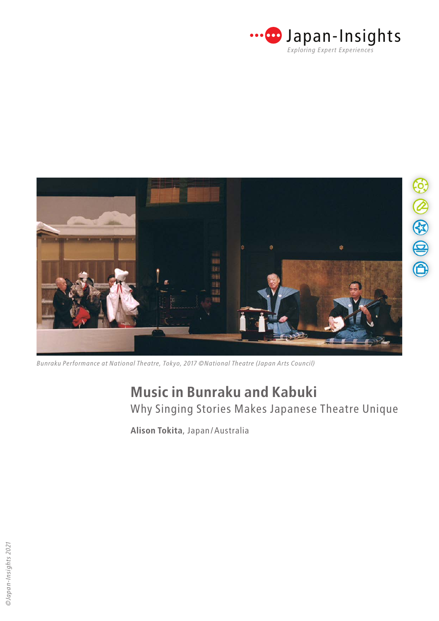



*Bunraku Performance at National Theatre, Tokyo, 2017 ©National Theatre (Japan Arts Council)*

Why Singing Stories Makes Japanese Theatre Unique

**Alison Tokita**, Japan/Australia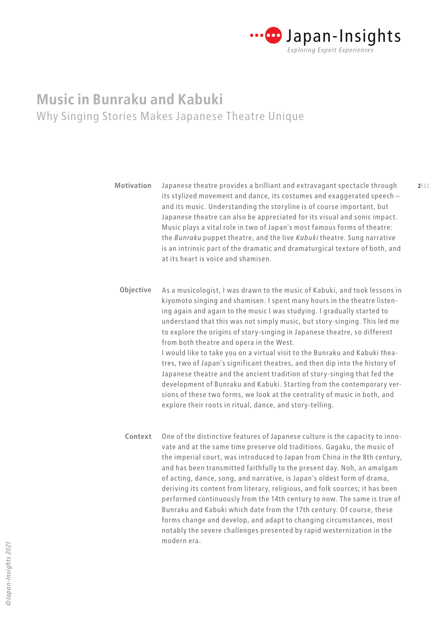

Japanese theatre provides a brilliant and extravagant spectacle through its stylized movement and dance, its costumes and exaggerated speech – and its music. Understanding the storyline is of course important, but Japanese theatre can also be appreciated for its visual and sonic impact. Music plays a vital role in two of Japan's most famous forms of theatre: the *Bunraku* puppet theatre, and the live *Kabuki* theatre. Sung narrative is an intrinsic part of the dramatic and dramaturgical texture of both, and at its heart is voice and shamisen. **Motivation**

As a musicologist, I was drawn to the music of Kabuki, and took lessons in kiyomoto singing and shamisen. I spent many hours in the theatre listening again and again to the music I was studying. I gradually started to understand that this was not simply music, but story-singing. This led me to explore the origins of story-singing in Japanese theatre, so different from both theatre and opera in the West. I would like to take you on a virtual visit to the Bunraku and Kabuki theatres, two of Japan's significant theatres, and then dip into the history of Japanese theatre and the ancient tradition of story-singing that fed the development of Bunraku and Kabuki. Starting from the contemporary versions of these two forms, we look at the centrality of music in both, and explore their roots in ritual, dance, and story-telling. **Objective**

One of the distinctive features of Japanese culture is the capacity to innovate and at the same time preserve old traditions. Gagaku, the music of the imperial court, was introduced to Japan from China in the 8th century, and has been transmitted faithfully to the present day. Noh, an amalgam of acting, dance, song, and narrative, is Japan's oldest form of drama, deriving its content from literary, religious, and folk sources; it has been performed continuously from the 14th century to now. The same is true of Bunraku and Kabuki which date from the 17th century. Of course, these forms change and develop, and adapt to changing circumstances, most notably the severe challenges presented by rapid westernization in the modern era. **Context**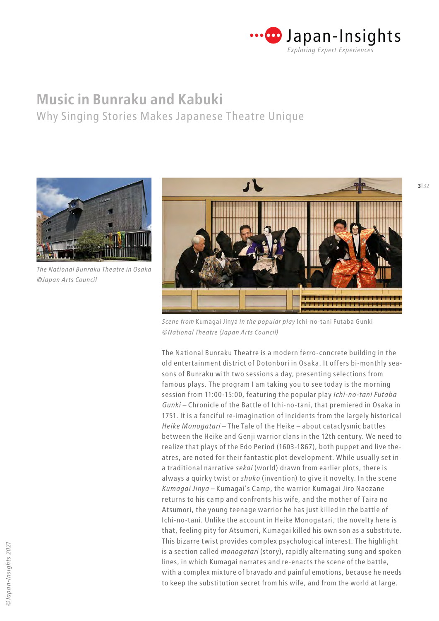

Why Singing Stories Makes Japanese Theatre Unique



*The National Bunraku Theatre in Osaka ©Japan Arts Council*



*Scene from* Kumagai Jinya *in the popular play* Ichi-no-tani Futaba Gunki *©National Theatre (Japan Arts Council)*

The National Bunraku Theatre is a modern ferro-concrete building in the old entertainment district of Dotonbori in Osaka. It offers bi-monthly seasons of Bunraku with two sessions a day, presenting selections from famous plays. The program I am taking you to see today is the morning session from 11:00-15:00, featuring the popular play *Ichi-no-tani Futaba Gunki* – Chronicle of the Battle of Ichi-no-tani, that premiered in Osaka in 1751. It is a fanciful re-imagination of incidents from the largely historical *Heike Monogatari* – The Tale of the Heike – about cataclysmic battles between the Heike and Genji warrior clans in the 12th century. We need to realize that plays of the Edo Period (1603-1867), both puppet and live theatres, are noted for their fantastic plot development. While usually set in a traditional narrative *sekai* (world) drawn from earlier plots, there is always a quirky twist or *shuko* (invention) to give it novelty. In the scene *Kumagai Jinya* – Kumagai's Camp, the warrior Kumagai Jiro Naozane returns to his camp and confronts his wife, and the mother of Taira no Atsumori, the young teenage warrior he has just killed in the battle of Ichi-no-tani. Unlike the account in Heike Monogatari, the novelty here is that, feeling pity for Atsumori, Kumagai killed his own son as a substitute. This bizarre twist provides complex psychological interest. The highlight is a section called *monogatari* (story), rapidly alternating sung and spoken lines, in which Kumagai narrates and re-enacts the scene of the battle, with a complex mixture of bravado and painful emotions, because he needs to keep the substitution secret from his wife, and from the world at large.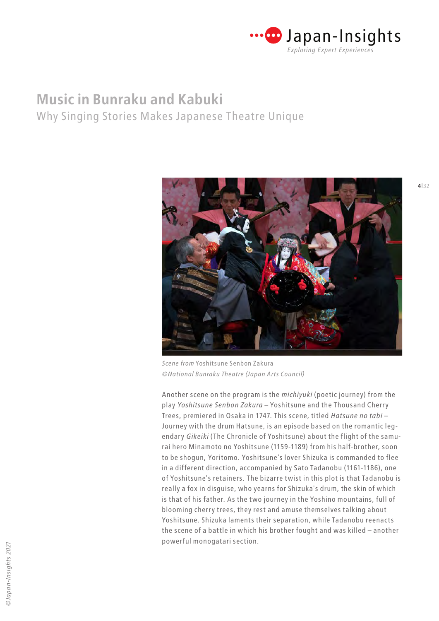

Why Singing Stories Makes Japanese Theatre Unique



*Scene from* Yoshitsune Senbon Zakura *©National Bunraku Theatre (Japan Arts Council)*

Another scene on the program is the *michiyuki* (poetic journey) from the play *Yoshitsune Senbon Zakura* – Yoshitsune and the Thousand Cherry Trees, premiered in Osaka in 1747. This scene, titled *Hatsune no tabi* – Journey with the drum Hatsune, is an episode based on the romantic legendary *Gikeiki* (The Chronicle of Yoshitsune) about the flight of the samurai hero Minamoto no Yoshitsune (1159-1189) from his half-brother, soon to be shogun, Yoritomo. Yoshitsune's lover Shizuka is commanded to flee in a different direction, accompanied by Sato Tadanobu (1161-1186), one of Yoshitsune's retainers. The bizarre twist in this plot is that Tadanobu is really a fox in disguise, who yearns for Shizuka's drum, the skin of which is that of his father. As the two journey in the Yoshino mountains, full of blooming cherry trees, they rest and amuse themselves talking about Yoshitsune. Shizuka laments their separation, while Tadanobu reenacts the scene of a battle in which his brother fought and was killed – another powerful monogatari section.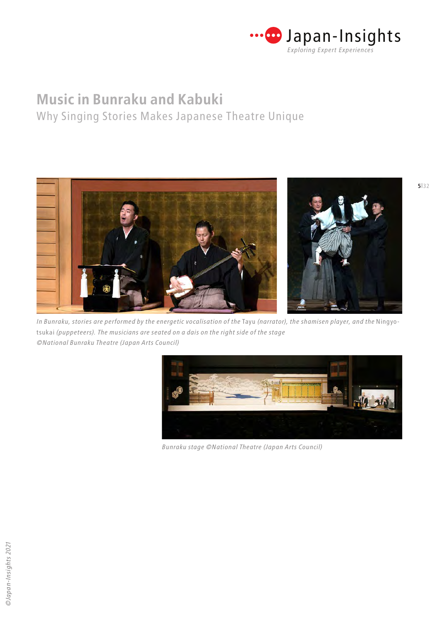

Why Singing Stories Makes Japanese Theatre Unique



*In Bunraku, stories are performed by the energetic vocalisation of the* Tayu *(narrator), the shamisen player, and the* Ningyotsukai *(puppeteers). The musicians are seated on a dais on the right side of the stage ©National Bunraku Theatre (Japan Arts Council)*



*Bunraku stage ©National Theatre (Japan Arts Council)*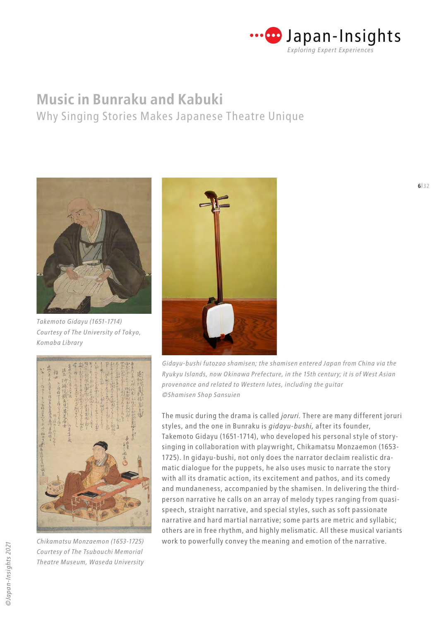

Why Singing Stories Makes Japanese Theatre Unique



*Takemoto Gidayu (1651-1714) Courtesy of The University of Tokyo, Komaba Library*



*Chikamatsu Monzaemon (1653-1725) Courtesy of The Tsubouchi Memorial Theatre Museum, Waseda University*



*Gidayu-bushi futozao shamisen; the shamisen entered Japan from China via the Ryukyu Islands, now Okinawa Prefecture, in the 15th century; it is of West Asian provenance and related to Western lutes, including the guitar ©Shamisen Shop Sansuien*

The music during the drama is called *joruri.* There are many different joruri styles, and the one in Bunraku is *gidayu-bushi,* after its founder, Takemoto Gidayu (1651-1714), who developed his personal style of storysinging in collaboration with playwright, Chikamatsu Monzaemon (1653- 1725). In gidayu-bushi, not only does the narrator declaim realistic dramatic dialogue for the puppets, he also uses music to narrate the story with all its dramatic action, its excitement and pathos, and its comedy and mundaneness, accompanied by the shamisen. In delivering the thirdperson narrative he calls on an array of melody types ranging from quasispeech, straight narrative, and special styles, such as soft passionate narrative and hard martial narrative; some parts are metric and syllabic; others are in free rhythm, and highly melismatic. All these musical variants work to powerfully convey the meaning and emotion of the narrative.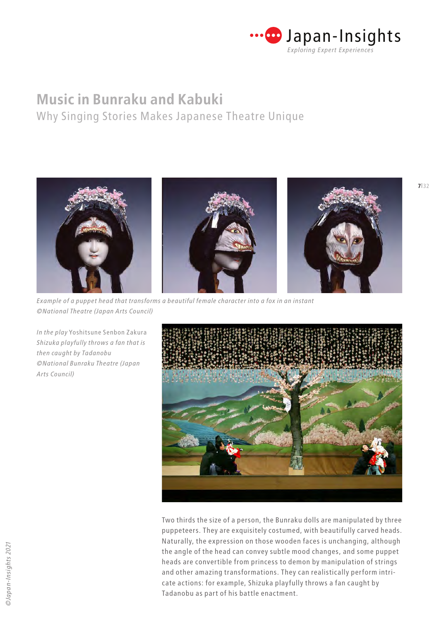

Why Singing Stories Makes Japanese Theatre Unique



*Example of a puppet head that transforms a beautiful female character into a fox in an instant ©National Theatre (Japan Arts Council)*

*In the play* Yoshitsune Senbon Zakura *Shizuka playfully throws a fan that is then caught by Tadanobu ©National Bunraku Theatre (Japan Arts Council)*



Two thirds the size of a person, the Bunraku dolls are manipulated by three puppeteers. They are exquisitely costumed, with beautifully carved heads. Naturally, the expression on those wooden faces is unchanging, although the angle of the head can convey subtle mood changes, and some puppet heads are convertible from princess to demon by manipulation of strings and other amazing transformations. They can realistically perform intricate actions: for example, Shizuka playfully throws a fan caught by Tadanobu as part of his battle enactment.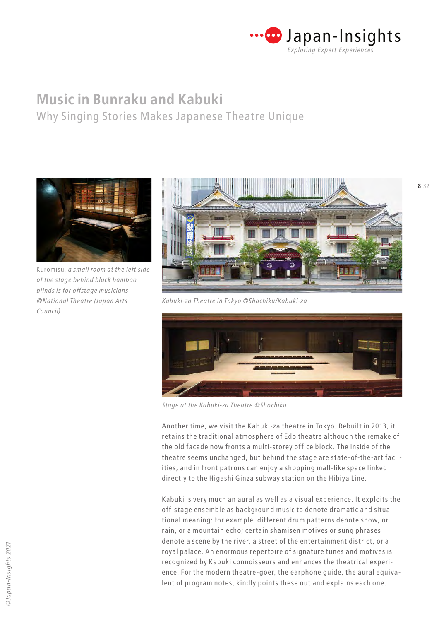

Why Singing Stories Makes Japanese Theatre Unique



Kuromisu, *a small room at the left side of the stage behind black bamboo blinds is for offstage musicians ©National Theatre (Japan Arts Council)*



*Kabuki-za Theatre in Tokyo ©Shochiku/Kabuki-za*



*Stage at the Kabuki-za Theatre ©Shochiku*

Another time, we visit the Kabuki-za theatre in Tokyo. Rebuilt in 2013, it retains the traditional atmosphere of Edo theatre although the remake of the old facade now fronts a multi-storey office block. The inside of the theatre seems unchanged, but behind the stage are state-of-the-art facilities, and in front patrons can enjoy a shopping mall-like space linked directly to the Higashi Ginza subway station on the Hibiya Line.

Kabuki is very much an aural as well as a visual experience. It exploits the off-stage ensemble as background music to denote dramatic and situational meaning: for example, different drum patterns denote snow, or rain, or a mountain echo; certain shamisen motives or sung phrases denote a scene by the river, a street of the entertainment district, or a royal palace. An enormous repertoire of signature tunes and motives is recognized by Kabuki connoisseurs and enhances the theatrical experience. For the modern theatre-goer, the earphone guide, the aural equivalent of program notes, kindly points these out and explains each one.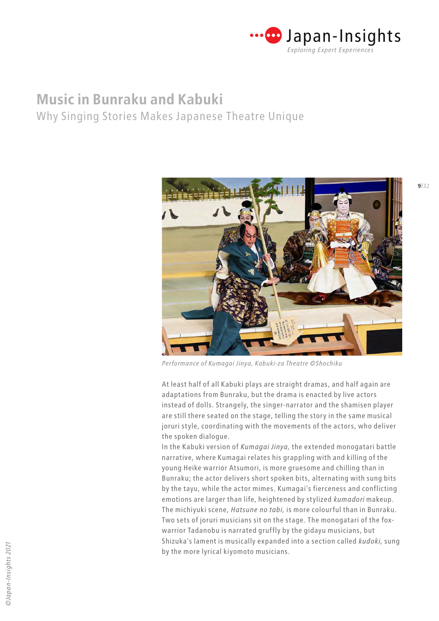

Why Singing Stories Makes Japanese Theatre Unique



*Performance of Kumagai Jinya, Kabuki-za Theatre ©Shochiku*

At least half of all Kabuki plays are straight dramas, and half again are adaptations from Bunraku, but the drama is enacted by live actors instead of dolls. Strangely, the singer-narrator and the shamisen player are still there seated on the stage, telling the story in the same musical joruri style, coordinating with the movements of the actors, who deliver the spoken dialogue.

In the Kabuki version of *Kumagai Jinya,* the extended monogatari battle narrative, where Kumagai relates his grappling with and killing of the young Heike warrior Atsumori, is more gruesome and chilling than in Bunraku; the actor delivers short spoken bits, alternating with sung bits by the tayu, while the actor mimes. Kumagai's fierceness and conflicting emotions are larger than life, heightened by stylized *kumadori* makeup. The michiyuki scene, *Hatsune no tabi,* is more colourful than in Bunraku. Two sets of joruri musicians sit on the stage. The monogatari of the foxwarrior Tadanobu is narrated gruffly by the gidayu musicians, but Shizuka's lament is musically expanded into a section called *kudoki,* sung by the more lyrical kiyomoto musicians.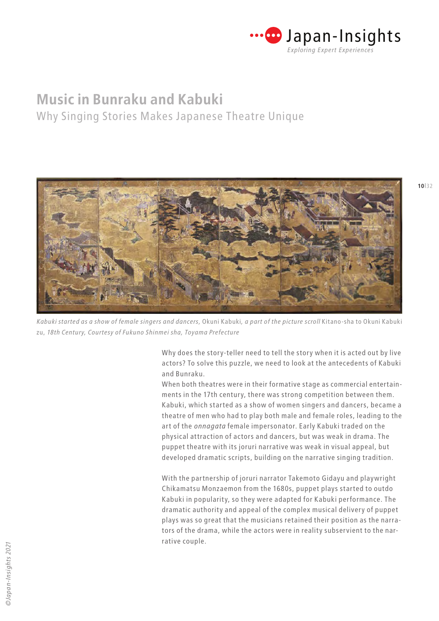

Why Singing Stories Makes Japanese Theatre Unique



*Kabuki started as a show of female singers and dancers,* Okuni Kabuki*, a part of the picture scroll* Kitano-sha to Okuni Kabuki zu, *18th Century, Courtesy of Fukuno Shinmei sha, Toyama Prefecture*

Why does the story-teller need to tell the story when it is acted out by live actors? To solve this puzzle, we need to look at the antecedents of Kabuki and Bunraku.

When both theatres were in their formative stage as commercial entertainments in the 17th century, there was strong competition between them. Kabuki, which started as a show of women singers and dancers, became a theatre of men who had to play both male and female roles, leading to the art of the *onnagata* female impersonator. Early Kabuki traded on the physical attraction of actors and dancers, but was weak in drama. The puppet theatre with its joruri narrative was weak in visual appeal, but developed dramatic scripts, building on the narrative singing tradition.

With the partnership of joruri narrator Takemoto Gidayu and playwright Chikamatsu Monzaemon from the 1680s, puppet plays started to outdo Kabuki in popularity, so they were adapted for Kabuki performance. The dramatic authority and appeal of the complex musical delivery of puppet plays was so great that the musicians retained their position as the narrators of the drama, while the actors were in reality subservient to the narrative couple.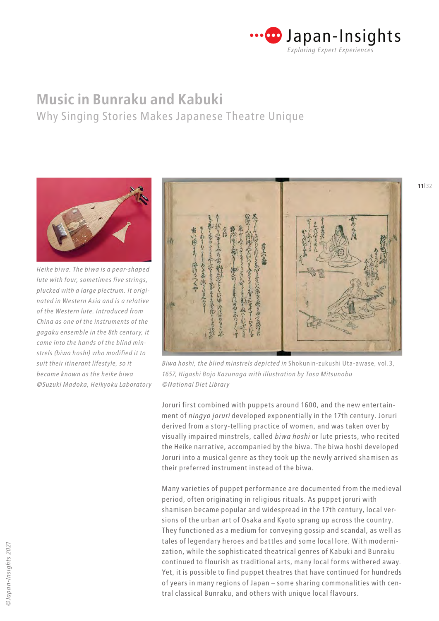

Why Singing Stories Makes Japanese Theatre Unique



*Heike biwa. The biwa is a pear-shaped lute with four, sometimes five strings, plucked with a large plectrum. It originated in Western Asia and is a relative of the Western lute. Introduced from China as one of the instruments of the gagaku ensemble in the 8th century, it came into the hands of the blind minstrels (biwa hoshi) who modified it to suit their itinerant lifestyle, so it became known as the heike biwa ©Suzuki Madoka, Heikyoku Laboratory*



*Biwa hoshi, the blind minstrels depicted in* Shokunin-zukushi Uta-awase, vol.3, *1657, Higashi Bojo Kazunaga with illustration by Tosa Mitsunobu ©National Diet Library*

Joruri first combined with puppets around 1600, and the new entertainment of *ningyo joruri* developed exponentially in the 17th century. Joruri derived from a story-telling practice of women, and was taken over by visually impaired minstrels, called *biwa hoshi* or lute priests, who recited the Heike narrative, accompanied by the biwa. The biwa hoshi developed Joruri into a musical genre as they took up the newly arrived shamisen as their preferred instrument instead of the biwa.

Many varieties of puppet performance are documented from the medieval period, often originating in religious rituals. As puppet joruri with shamisen became popular and widespread in the 17th century, local versions of the urban art of Osaka and Kyoto sprang up across the country. They functioned as a medium for conveying gossip and scandal, as well as tales of legendary heroes and battles and some local lore. With modernization, while the sophisticated theatrical genres of Kabuki and Bunraku continued to flourish as traditional arts, many local forms withered away. Yet, it is possible to find puppet theatres that have continued for hundreds of years in many regions of Japan – some sharing commonalities with central classical Bunraku, and others with unique local flavours.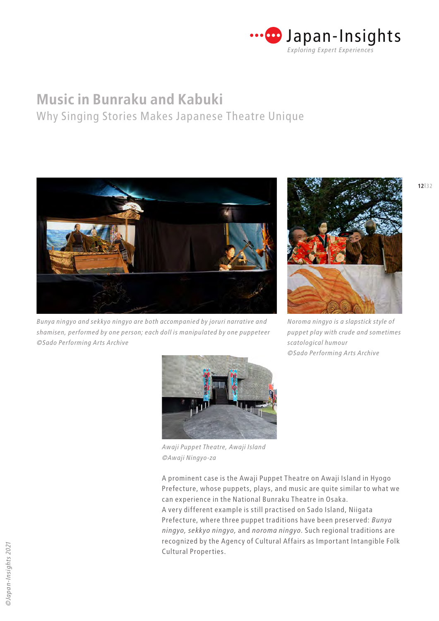

Why Singing Stories Makes Japanese Theatre Unique



*Bunya ningyo and sekkyo ningyo are both accompanied by joruri narrative and shamisen, performed by one person; each doll is manipulated by one puppeteer ©Sado Performing Arts Archive*



*Noroma ningyo is a slapstick style of puppet play with crude and sometimes scatological humour ©Sado Performing Arts Archive*



*Awaji Puppet Theatre, Awaji Island ©Awaji Ningyo-za*

A prominent case is the Awaji Puppet Theatre on Awaji Island in Hyogo Prefecture, whose puppets, plays, and music are quite similar to what we can experience in the National Bunraku Theatre in Osaka. A very different example is still practised on Sado Island, Niigata Prefecture, where three puppet traditions have been preserved: *Bunya ningyo, sekkyo ningyo,* and *noroma ningyo.* Such regional traditions are recognized by the Agency of Cultural Affairs as Important Intangible Folk Cultural Properties.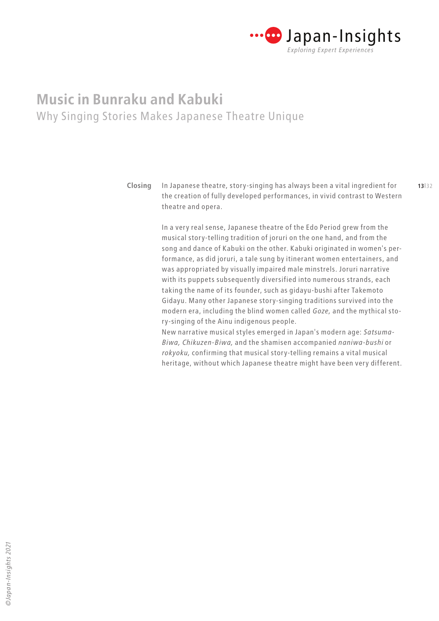

**12**|32 **13**|32 **Closing** In Japanese theatre, story-singing has always been a vital ingredient for the creation of fully developed performances, in vivid contrast to Western theatre and opera.

> In a very real sense, Japanese theatre of the Edo Period grew from the musical story-telling tradition of joruri on the one hand, and from the song and dance of Kabuki on the other. Kabuki originated in women's performance, as did joruri, a tale sung by itinerant women entertainers, and was appropriated by visually impaired male minstrels. Joruri narrative with its puppets subsequently diversified into numerous strands, each taking the name of its founder, such as gidayu-bushi after Takemoto Gidayu. Many other Japanese story-singing traditions survived into the modern era, including the blind women called *Goze,* and the mythical story-singing of the Ainu indigenous people.

> New narrative musical styles emerged in Japan's modern age: *Satsuma-Biwa, Chikuzen-Biwa,* and the shamisen accompanied *naniwa-bushi* or *rokyoku,* confirming that musical story-telling remains a vital musical heritage, without which Japanese theatre might have been very different.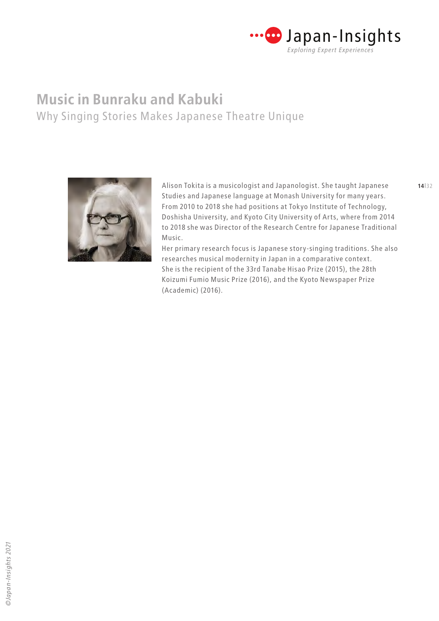

Alison Tokita is a musicologist and Japanologist. She taught Japanese Studies and Japanese language at Monash University for many years. From 2010 to 2018 she had positions at Tokyo Institute of Technology, Doshisha University, and Kyoto City University of Arts, where from 2014 to 2018 she was Director of the Research Centre for Japanese Traditional Music.

Her primary research focus is Japanese story-singing traditions. She also researches musical modernity in Japan in a comparative context. She is the recipient of the 33rd Tanabe Hisao Prize (2015), the 28th Koizumi Fumio Music Prize (2016), and the Kyoto Newspaper Prize (Academic) (2016).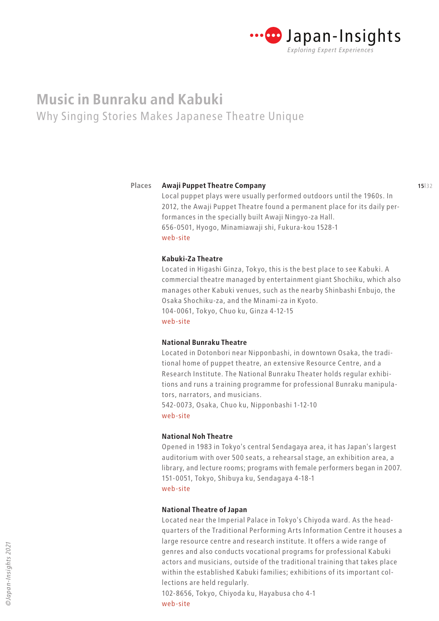

#### **Awaji Puppet Theatre Company Places**

Local puppet plays were usually performed outdoors until the 1960s. In 2012, the Awaji Puppet Theatre found a permanent place for its daily performances in the specially built Awaji Ningyo-za Hall. 656-0501, Hyogo, Minamiawaji shi, Fukura-kou 1528-1 [web-site](https://awajiningyoza.com/other/en/)

### **Kabuki-Za Theatre**

Located in Higashi Ginza, Tokyo, this is the best place to see Kabuki. A commercial theatre managed by entertainment giant Shochiku, which also manages other Kabuki venues, such as the nearby Shinbashi Enbujo, the Osaka Shochiku-za, and the Minami-za in Kyoto. 104-0061, Tokyo, Chuo ku, Ginza 4-12-15 [web-site](https://www.kabukiweb.net/)

### **National Bunraku Theatre**

Located in Dotonbori near Nipponbashi, in downtown Osaka, the traditional home of puppet theatre, an extensive Resource Centre, and a Research Institute. The National Bunraku Theater holds regular exhibitions and runs a training programme for professional Bunraku manipulators, narrators, and musicians.

542-0073, Osaka, Chuo ku, Nipponbashi 1-12-10 [web-site](https://www.ntj.jac.go.jp/english/schedule/national-bunraku-theatre)

### **National Noh Theatre**

Opened in 1983 in Tokyo's central Sendagaya area, it has Japan's largest auditorium with over 500 seats, a rehearsal stage, an exhibition area, a library, and lecture rooms; programs with female performers began in 2007. 151-0051, Tokyo, Shibuya ku, Sendagaya 4-18-1 [web-site](https://www.ntj.jac.go.jp/english/access/facilities_03.html)

### **National Theatre of Japan**

Located near the Imperial Palace in Tokyo's Chiyoda ward. As the headquarters of the Traditional Performing Arts Information Centre it houses a large resource centre and research institute. It offers a wide range of genres and also conducts vocational programs for professional Kabuki actors and musicians, outside of the traditional training that takes place within the established Kabuki families; exhibitions of its important collections are held regularly.

102-8656, Tokyo, Chiyoda ku, Hayabusa cho 4-1 [web-site](https://www.ntj.jac.go.jp/english/schedule/national-theatre.html)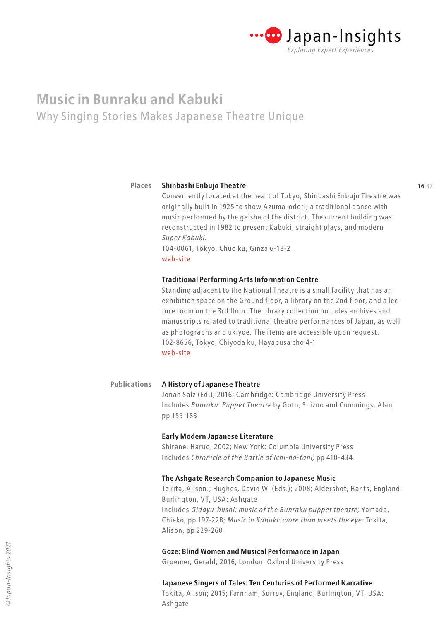

#### **15**|32 **16**|32 **Shinbashi Enbujo Theatre Places**

Conveniently located at the heart of Tokyo, Shinbashi Enbujo Theatre was originally built in 1925 to show Azuma-odori, a traditional dance with music performed by the geisha of the district. The current building was reconstructed in 1982 to present Kabuki, straight plays, and modern *Super Kabuki.*

104-0061, Tokyo, Chuo ku, Ginza 6-18-2 [web-site](https://www.kabukiweb.net/theatres/shinbashi/)

### **Traditional Performing Arts Information Centre**

Standing adjacent to the National Theatre is a small facility that has an exhibition space on the Ground floor, a library on the 2nd floor, and a lecture room on the 3rd floor. The library collection includes archives and manuscripts related to traditional theatre performances of Japan, as well as photographs and ukiyoe. The items are accessible upon request. 102-8656, Tokyo, Chiyoda ku, Hayabusa cho 4-1 [web-site](https://www.ntj.jac.go.jp/english/access/facilities_06.html)

#### **A History of Japanese Theatre Publications**

Jonah Salz (Ed.); 2016; Cambridge: Cambridge University Press Includes *Bunraku: Puppet Theatre* by Goto, Shizuo and Cummings, Alan; pp 155-183

### **Early Modern Japanese Literature**

Shirane, Haruo; 2002; New York: Columbia University Press Includes *Chronicle of the Battle of Ichi-no-tani;* pp 410-434

### **The Ashgate Research Companion to Japanese Music**

Tokita, Alison.; Hughes, David W. (Eds.); 2008; Aldershot, Hants, England; Burlington, VT, USA: Ashgate Includes *Gidayu-bushi: music of the Bunraku puppet theatre;* Yamada, Chieko; pp 197-228; *Music in Kabuki: more than meets the eye;* Tokita, Alison, pp 229-260

### **Goze: Blind Women and Musical Performance in Japan**

Groemer, Gerald; 2016; London: Oxford University Press

### **Japanese Singers of Tales: Ten Centuries of Performed Narrative**

Tokita, Alison; 2015; Farnham, Surrey, England; Burlington, VT, USA: Ashgate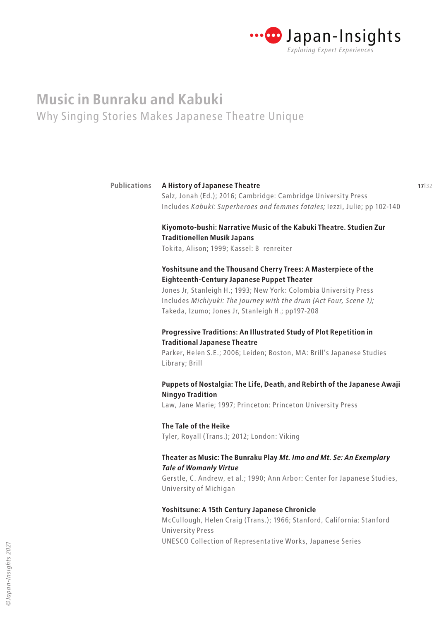

|                                                                           | 17 32                                                                                                                                                                                                                                              |
|---------------------------------------------------------------------------|----------------------------------------------------------------------------------------------------------------------------------------------------------------------------------------------------------------------------------------------------|
|                                                                           |                                                                                                                                                                                                                                                    |
|                                                                           |                                                                                                                                                                                                                                                    |
| Kiyomoto-bushi: Narrative Music of the Kabuki Theatre. Studien Zur        |                                                                                                                                                                                                                                                    |
| <b>Traditionellen Musik Japans</b>                                        |                                                                                                                                                                                                                                                    |
| Tokita, Alison; 1999; Kassel: B renreiter                                 |                                                                                                                                                                                                                                                    |
| Yoshitsune and the Thousand Cherry Trees: A Masterpiece of the            |                                                                                                                                                                                                                                                    |
| <b>Eighteenth-Century Japanese Puppet Theater</b>                         |                                                                                                                                                                                                                                                    |
| Jones Jr, Stanleigh H.; 1993; New York: Colombia University Press         |                                                                                                                                                                                                                                                    |
| Includes Michiyuki: The journey with the drum (Act Four, Scene 1);        |                                                                                                                                                                                                                                                    |
| Takeda, Izumo; Jones Jr, Stanleigh H.; pp197-208                          |                                                                                                                                                                                                                                                    |
|                                                                           |                                                                                                                                                                                                                                                    |
| <b>Traditional Japanese Theatre</b>                                       |                                                                                                                                                                                                                                                    |
| Parker, Helen S.E.; 2006; Leiden; Boston, MA: Brill's Japanese Studies    |                                                                                                                                                                                                                                                    |
| Library; Brill                                                            |                                                                                                                                                                                                                                                    |
| Puppets of Nostalgia: The Life, Death, and Rebirth of the Japanese Awaji  |                                                                                                                                                                                                                                                    |
| <b>Ningyo Tradition</b>                                                   |                                                                                                                                                                                                                                                    |
| Law, Jane Marie; 1997; Princeton: Princeton University Press              |                                                                                                                                                                                                                                                    |
| The Tale of the Heike                                                     |                                                                                                                                                                                                                                                    |
| Tyler, Royall (Trans.); 2012; London: Viking                              |                                                                                                                                                                                                                                                    |
| Theater as Music: The Bunraku Play Mt. Imo and Mt. Se: An Exemplary       |                                                                                                                                                                                                                                                    |
| <b>Tale of Womanly Virtue</b>                                             |                                                                                                                                                                                                                                                    |
| Gerstle, C. Andrew, et al.; 1990; Ann Arbor: Center for Japanese Studies, |                                                                                                                                                                                                                                                    |
| University of Michigan                                                    |                                                                                                                                                                                                                                                    |
| Yoshitsune: A 15th Century Japanese Chronicle                             |                                                                                                                                                                                                                                                    |
| McCullough, Helen Craig (Trans.); 1966; Stanford, California: Stanford    |                                                                                                                                                                                                                                                    |
| <b>University Press</b>                                                   |                                                                                                                                                                                                                                                    |
| <b>UNESCO Collection of Representative Works, Japanese Series</b>         |                                                                                                                                                                                                                                                    |
| <b>Publications</b>                                                       | A History of Japanese Theatre<br>Salz, Jonah (Ed.); 2016; Cambridge: Cambridge University Press<br>Includes Kabuki: Superheroes and femmes fatales; lezzi, Julie; pp 102-140<br>Progressive Traditions: An Illustrated Study of Plot Repetition in |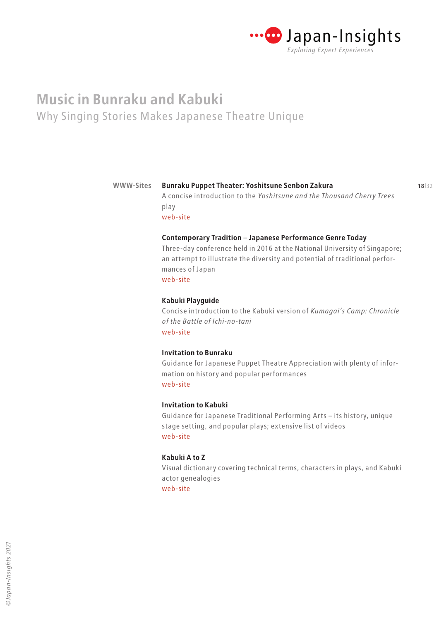

#### **17**|32 **18**|32 **Bunraku Puppet Theater: Yoshitsune Senbon Zakura WWW-Sites**

A concise introduction to the *Yoshitsune and the Thousand Cherry Trees*  play [web-site](https://www2.ntj.jac.go.jp/dglib/contents/learn/edc24/digest/english.html)

**Contemporary Tradition** – **Japanese Performance Genre Today**

Three-day conference held in 2016 at the National University of Singapore; an attempt to illustrate the diversity and potential of traditional performances of Japan [web-site](http://performct.nus.edu.sg/generic/contemporary-tradition-japanese-performance-genre-today/index.html)

### **Kabuki Playguide**

Concise introduction to the Kabuki version of *Kumagai's Camp: Chronicle of the Battle of Ichi-no-tani* [web-site](http://enmokudb.kabuki.ne.jp/repertoire_en/%E4%B8%80%E8%B0%B7%E5%AB%A9%E8%BB%8D%E8%A8%98%EF%BD%9E%E7%86%8A%E8%B0%B7%E9%99%A3%E5%B1%8B%EF%BC%88kumagais-camp-a-chronicle-of-the-battle-of-ichinotani%EF%BC%89)

### **Invitation to Bunraku**

Guidance for Japanese Puppet Theatre Appreciation with plenty of information on history and popular performances [web-site](https://www2.ntj.jac.go.jp/unesco/bunraku/en/)

### **Invitation to Kabuki**

Guidance for Japanese Traditional Performing Arts – its history, unique stage setting, and popular plays; extensive list of videos [web-site](https://www2.ntj.jac.go.jp/unesco/kabuki/en/)

### **Kabuki A to Z**

Visual dictionary covering technical terms, characters in plays, and Kabuki actor genealogies [web-site](https://www2.ntj.jac.go.jp/dglib/modules/kabuki_dic_en/letter.php)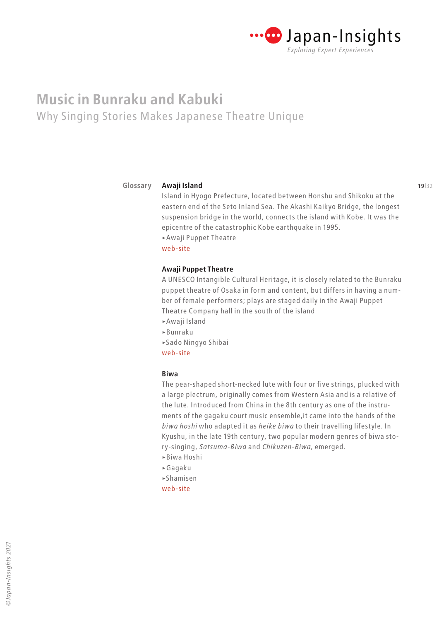

#### **Awaji Island Glossary**

Island in Hyogo Prefecture, located between Honshu and Shikoku at the eastern end of the Seto Inland Sea. The Akashi Kaikyo Bridge, the longest suspension bridge in the world, connects the island with Kobe. It was the epicentre of the catastrophic Kobe earthquake in 1995. >Awaji Puppet Theatre

[web-site](https://www.awajishima-kanko.jp/en/)

### **Awaji Puppet Theatre**

A UNESCO Intangible Cultural Heritage, it is closely related to the Bunraku puppet theatre of Osaka in form and content, but differs in having a number of female performers; plays are staged daily in the Awaji Puppet Theatre Company hall in the south of the island

- >Awaji Island
- >Bunraku
- >Sado Ningyo Shibai

[web-site](https://awajiningyoza.com/study/en/)

### **Biwa**

The pear-shaped short-necked lute with four or five strings, plucked with a large plectrum, originally comes from Western Asia and is a relative of the lute. Introduced from China in the 8th century as one of the instruments of the gagaku court music ensemble,it came into the hands of the *biwa hoshi* who adapted it as *heike biwa* to their travelling lifestyle. In Kyushu, in the late 19th century, two popular modern genres of biwa story-singing, *Satsuma-Biwa* and *Chikuzen-Biwa,* emerged.

- >Biwa Hoshi
- >Gagaku
- >Shamisen
- [web-site](https://www.japantimes.co.jp/culture/2001/11/18/music/the-rich-legacy-of-the-biwa/)

**19**|32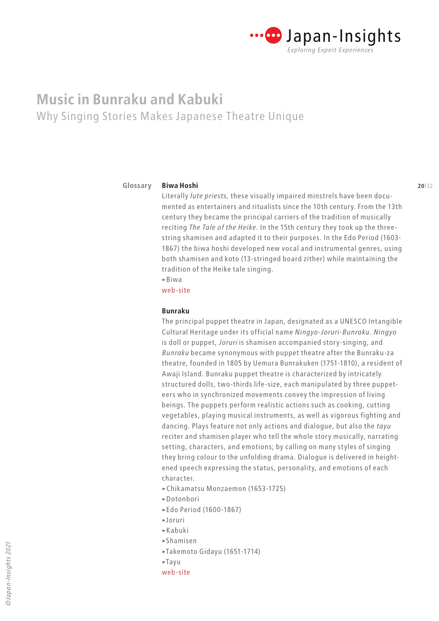

**Biwa Hoshi**

#### **19|32 19|32 19|32 19|32 19|32 19|32 19|32 19|32 19|32 19|32 19|32 19|32 19|32 19|32 19|32 19|32 19|32 19|32 19|32 19|32 19|32 19|32 19|32 19|32 19|32 19|32 19|32 19|32 19|32 19|32 19|32 19|32 19|32 19|32 19|32 19|32 19|32 Glossary**

### Literally *lute priests,* these visually impaired minstrels have been documented as entertainers and ritualists since the 10th century. From the 13th century they became the principal carriers of the tradition of musically reciting *The Tale of the Heike.* In the 15th century they took up the threestring shamisen and adapted it to their purposes. In the Edo Period (1603- 1867) the biwa hoshi developed new vocal and instrumental genres, using both shamisen and koto (13-stringed board zither) while maintaining the tradition of the Heike tale singing.

 $\triangleright$ Biwa

[web-site](https://wiki.samurai-archives.com/index.php?title=Biwa_hoshi)

### **Bunraku**

The principal puppet theatre in Japan, designated as a UNESCO Intangible Cultural Heritage under its official name *Ningyo-Joruri-Bunraku. Ningyo*  is doll or puppet, *Joruri* is shamisen accompanied story-singing, and *Bunraku* became synonymous with puppet theatre after the Bunraku-za theatre, founded in 1805 by Uemura Bunrakuken (1751-1810), a resident of Awaji Island. Bunraku puppet theatre is characterized by intricately structured dolls, two-thirds life-size, each manipulated by three puppeteers who in synchronized movements convey the impression of living beings. The puppets perform realistic actions such as cooking, cutting vegetables, playing musical instruments, as well as vigorous fighting and dancing. Plays feature not only actions and dialogue, but also the *tayu* reciter and shamisen player who tell the whole story musically, narrating setting, characters, and emotions; by calling on many styles of singing they bring colour to the unfolding drama. Dialogue is delivered in heightened speech expressing the status, personality, and emotions of each character.

- >Chikamatsu Monzaemon (1653-1725)
- >Dotonbori
- >Edo Period (1600-1867)
- >Joruri
- >Kabuki
- >Shamisen
- >Takemoto Gidayu (1651-1714)
- >Tayu
- [web-site](https://www2.ntj.jac.go.jp/unesco/bunraku/en/)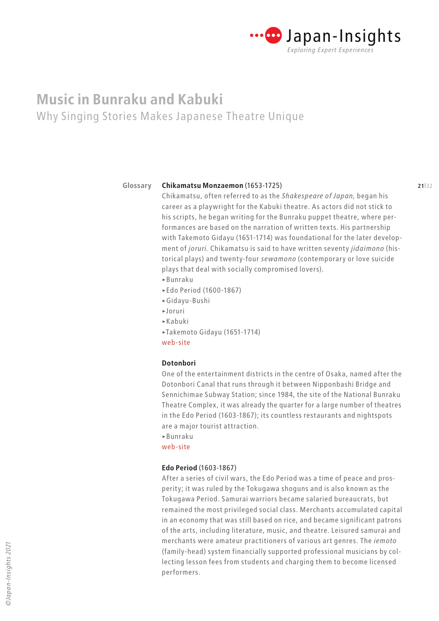

#### **Glossary**

#### **20**|32 **21**|32 **Chikamatsu Monzaemon** (1653-1725)

Chikamatsu, often referred to as the *Shakespeare of Japan,* began his career as a playwright for the Kabuki theatre. As actors did not stick to his scripts, he began writing for the Bunraku puppet theatre, where performances are based on the narration of written texts. His partnership with Takemoto Gidayu (1651-1714) was foundational for the later development of *joruri.* Chikamatsu is said to have written seventy *jidaimono* (historical plays) and twenty-four *sewamono* (contemporary or love suicide plays that deal with socially compromised lovers). >Bunraku

- >Edo Period (1600-1867)
- >Gidayu-Bushi
- >Joruri
- >Kabuki
- >Takemoto Gidayu (1651-1714)

[web-site](https://wepa.unima.org/en/chikamatsu-monzaemon/)

### **Dotonbori**

One of the entertainment districts in the centre of Osaka, named after the Dotonbori Canal that runs through it between Nipponbashi Bridge and Sennichimae Subway Station; since 1984, the site of the National Bunraku Theatre Complex, it was already the quarter for a large number of theatres in the Edo Period (1603-1867); its countless restaurants and nightspots are a major tourist attraction.

>Bunraku

[web-site](https://www.osakastation.com/dotonbori-area-the-bright-heart-of-osaka/)

### **Edo Period** (1603-1867)

After a series of civil wars, the Edo Period was a time of peace and prosperity; it was ruled by the Tokugawa shoguns and is also known as the Tokugawa Period. Samurai warriors became salaried bureaucrats, but remained the most privileged social class. Merchants accumulated capital in an economy that was still based on rice, and became significant patrons of the arts, including literature, music, and theatre. Leisured samurai and merchants were amateur practitioners of various art genres. The *iemoto* (family-head) system financially supported professional musicians by collecting lesson fees from students and charging them to become licensed performers.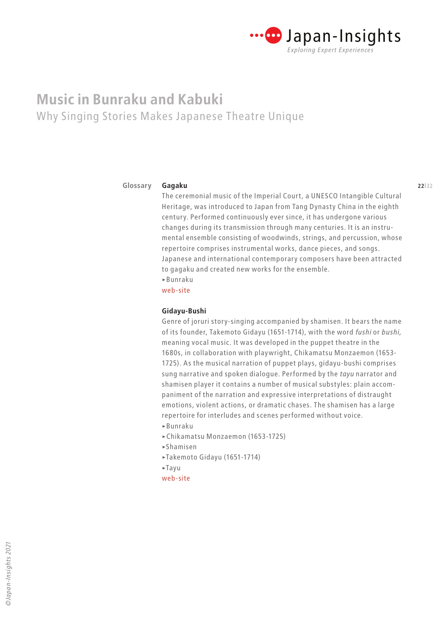

#### **21**|32 **22**|32 **Gagaku Glossary**

The ceremonial music of the Imperial Court, a UNESCO Intangible Cultural Heritage, was introduced to Japan from Tang Dynasty China in the eighth century. Performed continuously ever since, it has undergone various changes during its transmission through many centuries. It is an instrumental ensemble consisting of woodwinds, strings, and percussion, whose repertoire comprises instrumental works, dance pieces, and songs. Japanese and international contemporary composers have been attracted to gagaku and created new works for the ensemble. >Bunraku

[web-site](https://www.kunaicho.go.jp/e-culture/gagaku.html)

### **Gidayu-Bushi**

Genre of joruri story-singing accompanied by shamisen. It bears the name of its founder, Takemoto Gidayu (1651-1714), with the word *fushi* or *bushi,*  meaning vocal music. It was developed in the puppet theatre in the 1680s, in collaboration with playwright, Chikamatsu Monzaemon (1653- 1725). As the musical narration of puppet plays, gidayu-bushi comprises sung narrative and spoken dialogue. Performed by the *tayu* narrator and shamisen player it contains a number of musical substyles: plain accompaniment of the narration and expressive interpretations of distraught emotions, violent actions, or dramatic chases. The shamisen has a large repertoire for interludes and scenes performed without voice.

- >Bunraku
- >Chikamatsu Monzaemon (1653-1725)
- >Shamisen
- >Takemoto Gidayu (1651-1714)
- >Tayu
- [web-site](https://prezi.com/rkg_i7vpbmg_/gidayu-bushi-music-of-the-japanese-puppet-theatre/)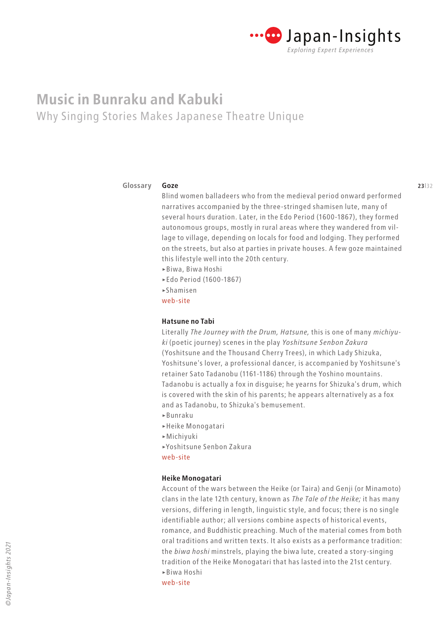

#### **22**|32 **23**|32 **Goze Glossary**

Blind women balladeers who from the medieval period onward performed narratives accompanied by the three-stringed shamisen lute, many of several hours duration. Later, in the Edo Period (1600-1867), they formed autonomous groups, mostly in rural areas where they wandered from village to village, depending on locals for food and lodging. They performed on the streets, but also at parties in private houses. A few goze maintained this lifestyle well into the 20th century.

- >Biwa, Biwa Hoshi
- >Edo Period (1600-1867)
- >Shamisen
- [web-site](https://www.geidai.ac.jp/labs/koizumi/english/awarde/28at1e.pdf)

### **Hatsune no Tabi**

Literally *The Journey with the Drum, Hatsune,* this is one of many *michiyuki* (poetic journey) scenes in the play *Yoshitsune Senbon Zakura* (Yoshitsune and the Thousand Cherry Trees), in which Lady Shizuka, Yoshitsune's lover, a professional dancer, is accompanied by Yoshitsune's retainer Sato Tadanobu (1161-1186) through the Yoshino mountains. Tadanobu is actually a fox in disguise; he yearns for Shizuka's drum, which is covered with the skin of his parents; he appears alternatively as a fox and as Tadanobu, to Shizuka's bemusement.

- >Bunraku
- >Heike Monogatari
- >Michiyuki
- >Yoshitsune Senbon Zakura

[web-site](https://www2.ntj.jac.go.jp/unesco/kabuki/en/play/play23.html)

#### **Heike Monogatari**

Account of the wars between the Heike (or Taira) and Genji (or Minamoto) clans in the late 12th century, known as *The Tale of the Heike;* it has many versions, differing in length, linguistic style, and focus; there is no single identifiable author; all versions combine aspects of historical events, romance, and Buddhistic preaching. Much of the material comes from both oral traditions and written texts. It also exists as a performance tradition: the *biwa hoshi* minstrels, playing the biwa lute, created a story-singing tradition of the Heike Monogatari that has lasted into the 21st century. >Biwa Hoshi [web-site](https://washburn.edu/reference/bridge24/Heike.html)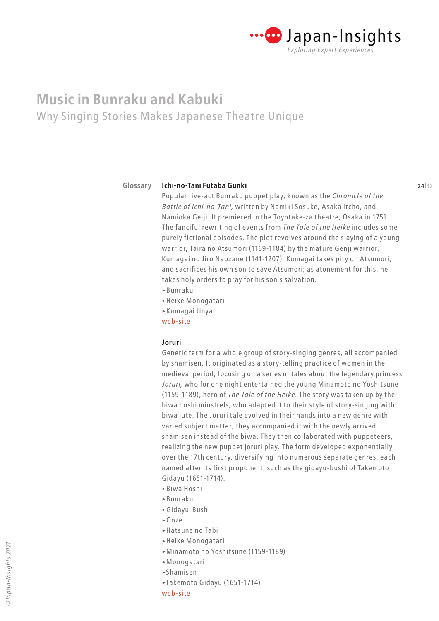

#### **23**|32 **24**|32 **Ichi-no-Tani Futaba Gunki Glossary**

Popular five-act Bunraku puppet play, known as the *Chronicle of the Battle of Ichi-no-Tani,* written by Namiki Sosuke, Asaka Itcho, and Namioka Geiji. It premiered in the Toyotake-za theatre, Osaka in 1751. The fanciful rewriting of events from *The Tale of the Heike* includes some purely fictional episodes. The plot revolves around the slaying of a young warrior, Taira no Atsumori (1169-1184) by the mature Genji warrior, Kumagai no Jiro Naozane (1141-1207). Kumagai takes pity on Atsumori, and sacrifices his own son to save Atsumori; as atonement for this, he takes holy orders to pray for his son's salvation.

- >Bunraku
- >Heike Monogatari
- >Kumagai Jinya
- [web-site](http://enmokudb.kabuki.ne.jp/repertoire_en/%E4%B8%80%E8%B0%B7%E5%AB%A9%E8%BB%8D%E8%A8%98%EF%BD%9E%E7%86%8A%E8%B0%B7%E9%99%A3%E5%B1%8B%EF%BC%88kumagais-camp-a-chronicle-of-the-battle-of-ichinotani%EF%BC%89)

### **Joruri**

Generic term for a whole group of story-singing genres, all accompanied by shamisen. It originated as a story-telling practice of women in the medieval period, focusing on a series of tales about the legendary princess *Joruri,* who for one night entertained the young Minamoto no Yoshitsune (1159-1189), hero of *The Tale of the Heike.* The story was taken up by the biwa hoshi minstrels, who adapted it to their style of story-singing with biwa lute. The Joruri tale evolved in their hands into a new genre with varied subject matter; they accompanied it with the newly arrived shamisen instead of the biwa. They then collaborated with puppeteers, realizing the new puppet joruri play. The form developed exponentially over the 17th century, diversifying into numerous separate genres, each named after its first proponent, such as the gidayu-bushi of Takemoto Gidayu (1651-1714).

- >Biwa Hoshi
- >Bunraku
- >Gidayu-Bushi
- >Goze
- >Hatsune no Tabi
- >Heike Monogatari
- >Minamoto no Yoshitsune (1159-1189)
- >Monogatari
- >Shamisen
- >Takemoto Gidayu (1651-1714)
- [web-site](https://livejapan.com/en/article-a0000300/)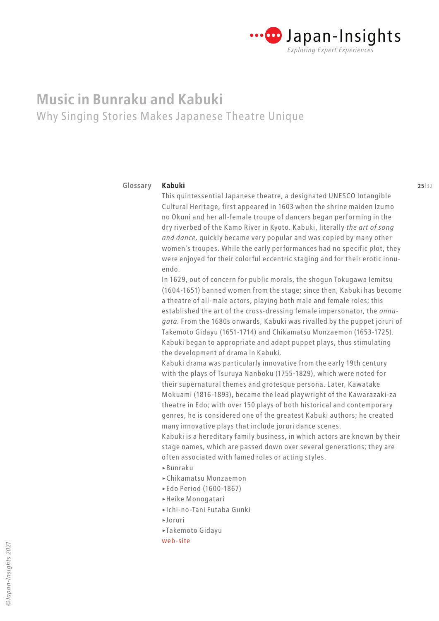

#### **24**|32 **25**|32 **Kabuki Glossary**

This quintessential Japanese theatre, a designated UNESCO Intangible Cultural Heritage, first appeared in 1603 when the shrine maiden Izumo no Okuni and her all-female troupe of dancers began performing in the dry riverbed of the Kamo River in Kyoto. Kabuki, literally *the art of song and dance,* quickly became very popular and was copied by many other women's troupes. While the early performances had no specific plot, they were enjoyed for their colorful eccentric staging and for their erotic innuendo.

In 1629, out of concern for public morals, the shogun Tokugawa Iemitsu (1604-1651) banned women from the stage; since then, Kabuki has become a theatre of all-male actors, playing both male and female roles; this established the art of the cross-dressing female impersonator, the *onnagata.* From the 1680s onwards, Kabuki was rivalled by the puppet joruri of Takemoto Gidayu (1651-1714) and Chikamatsu Monzaemon (1653-1725). Kabuki began to appropriate and adapt puppet plays, thus stimulating the development of drama in Kabuki.

Kabuki drama was particularly innovative from the early 19th century with the plays of Tsuruya Nanboku (1755-1829), which were noted for their supernatural themes and grotesque persona. Later, Kawatake Mokuami (1816-1893), became the lead playwright of the Kawarazaki-za theatre in Edo; with over 150 plays of both historical and contemporary genres, he is considered one of the greatest Kabuki authors; he created many innovative plays that include joruri dance scenes.

Kabuki is a hereditary family business, in which actors are known by their stage names, which are passed down over several generations; they are often associated with famed roles or acting styles.

- >Bunraku
- >Chikamatsu Monzaemon
- >Edo Period (1600-1867)
- >Heike Monogatari
- >Ichi-no-Tani Futaba Gunki
- >Joruri
- >Takemoto Gidayu
- [web-site](https://www2.ntj.jac.go.jp/unesco/kabuki/en/)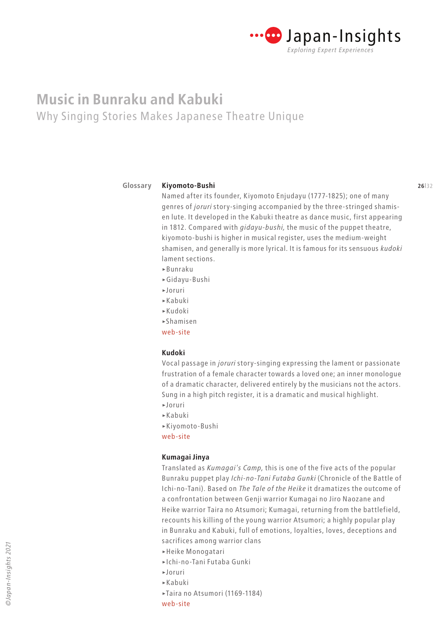

#### **Glossary**

#### **25**|32 **26**|32 **Kiyomoto-Bushi**

Named after its founder, Kiyomoto Enjudayu (1777-1825); one of many genres of *joruri* story-singing accompanied by the three-stringed shamisen lute. It developed in the Kabuki theatre as dance music, first appearing in 1812. Compared with *gidayu-bushi,* the music of the puppet theatre, kiyomoto-bushi is higher in musical register, uses the medium-weight shamisen, and generally is more lyrical. It is famous for its sensuous *kudoki* lament sections.

- >Bunraku
- >Gidayu-Bushi
- >Joruri
- >Kabuki
- >Kudoki
- >Shamisen
- [web-site](https://web.archive.org/web/20141015090551/http://jtrad.columbia.jp/eng/history03.html)

### **Kudoki**

Vocal passage in *joruri* story-singing expressing the lament or passionate frustration of a female character towards a loved one; an inner monologue of a dramatic character, delivered entirely by the musicians not the actors. Sung in a high pitch register, it is a dramatic and musical highlight.

- >Joruri
- >Kabuki
- >Kiyomoto-Bushi
- [web-site](https://www2.ntj.jac.go.jp/dglib/modules/kabuki_dic_en/entry.php?entryid=1105)

### **Kumagai Jinya**

Translated as *Kumagai's Camp,* this is one of the five acts of the popular Bunraku puppet play *Ichi-no-Tani Futaba Gunki* (Chronicle of the Battle of Ichi-no-Tani). Based on *The Tale of the Heike* it dramatizes the outcome of a confrontation between Genji warrior Kumagai no Jiro Naozane and Heike warrior Taira no Atsumori; Kumagai, returning from the battlefield, recounts his killing of the young warrior Atsumori; a highly popular play in Bunraku and Kabuki, full of emotions, loyalties, loves, deceptions and sacrifices among warrior clans

- >Heike Monogatari
- >Ichi-no-Tani Futaba Gunki
- >Joruri
- >Kabuki
- >Taira no Atsumori (1169-1184)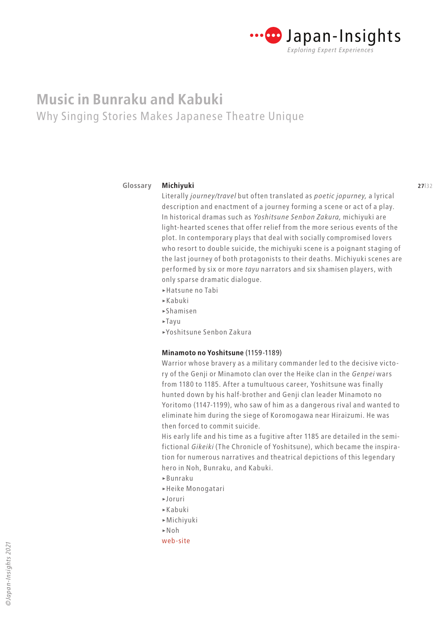

#### **26**|32 **27**|32 **Michiyuki Glossary**

Literally *journey/travel* but often translated as *poetic jopurney,* a lyrical description and enactment of a journey forming a scene or act of a play. In historical dramas such as *Yoshitsune Senbon Zakura,* michiyuki are light-hearted scenes that offer relief from the more serious events of the plot. In contemporary plays that deal with socially compromised lovers who resort to double suicide, the michiyuki scene is a poignant staging of the last journey of both protagonists to their deaths. Michiyuki scenes are performed by six or more *tayu* narrators and six shamisen players, with only sparse dramatic dialogue.

- >Hatsune no Tabi
- >Kabuki
- >Shamisen
- $\blacktriangleright$ Tayu
- >Yoshitsune Senbon Zakura

### **Minamoto no Yoshitsune** (1159-1189)

Warrior whose bravery as a military commander led to the decisive victory of the Genji or Minamoto clan over the Heike clan in the *Genpei* wars from 1180 to 1185. After a tumultuous career, Yoshitsune was finally hunted down by his half-brother and Genji clan leader Minamoto no Yoritomo (1147-1199), who saw of him as a dangerous rival and wanted to eliminate him during the siege of Koromogawa near Hiraizumi. He was then forced to commit suicide.

His early life and his time as a fugitive after 1185 are detailed in the semifictional *Gikeiki* (The Chronicle of Yoshitsune), which became the inspiration for numerous narratives and theatrical depictions of this legendary hero in Noh, Bunraku, and Kabuki.

- >Bunraku
- >Heike Monogatari
- >Joruri
- >Kabuki
- >Michiyuki
- >Noh
- [web-site](https://www.samurai-archives.com/yoshitsune.html)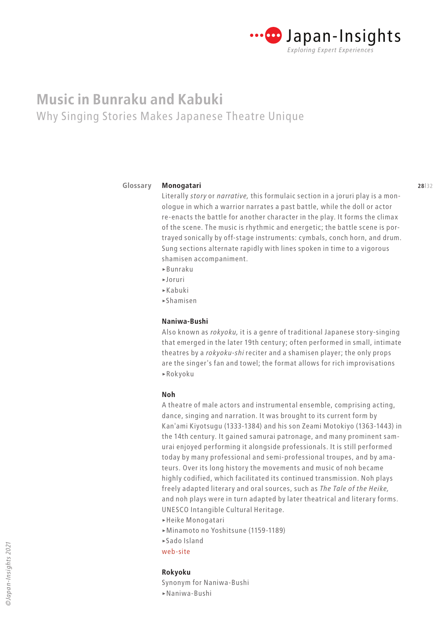

#### **Glossary**

### Literally *story* or *narrative,* this formulaic section in a joruri play is a monologue in which a warrior narrates a past battle, while the doll or actor re-enacts the battle for another character in the play. It forms the climax of the scene. The music is rhythmic and energetic; the battle scene is portrayed sonically by off-stage instruments: cymbals, conch horn, and drum. Sung sections alternate rapidly with lines spoken in time to a vigorous shamisen accompaniment.

>Bunraku

**Monogatari**

- >Joruri
- >Kabuki
- >Shamisen

### **Naniwa-Bushi**

Also known as *rokyoku,* it is a genre of traditional Japanese story-singing that emerged in the later 19th century; often performed in small, intimate theatres by a *rokyoku-shi* reciter and a shamisen player; the only props are the singer's fan and towel; the format allows for rich improvisations >Rokyoku

#### **Noh**

A theatre of male actors and instrumental ensemble, comprising acting, dance, singing and narration. It was brought to its current form by Kan'ami Kiyotsugu (1333-1384) and his son Zeami Motokiyo (1363-1443) in the 14th century. It gained samurai patronage, and many prominent samurai enjoyed performing it alongside professionals. It is still performed today by many professional and semi-professional troupes, and by amateurs. Over its long history the movements and music of noh became highly codified, which facilitated its continued transmission. Noh plays freely adapted literary and oral sources, such as *The Tale of the Heike,*  and noh plays were in turn adapted by later theatrical and literary forms. UNESCO Intangible Cultural Heritage.

- >Heike Monogatari
- >Minamoto no Yoshitsune (1159-1189)
- >Sado Island
- [web-site](https://www2.ntj.jac.go.jp/unesco/noh/en/)

### **Rokyoku**

Synonym for Naniwa-Bushi >Naniwa-Bushi

**28**|32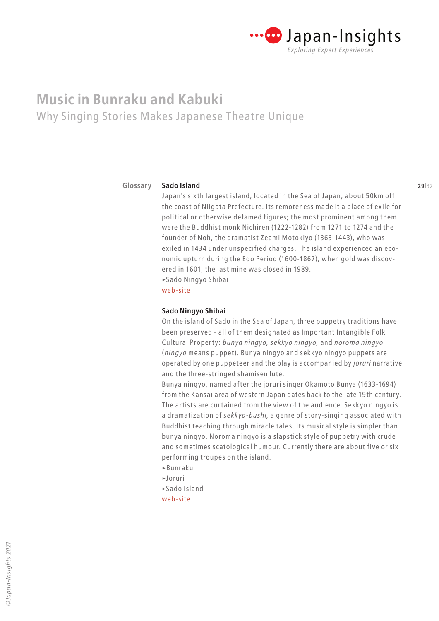

#### **28**|32 **29**|32 **Sado Island Glossary**

Japan's sixth largest island, located in the Sea of Japan, about 50km off the coast of Niigata Prefecture. Its remoteness made it a place of exile for political or otherwise defamed figures; the most prominent among them were the Buddhist monk Nichiren (1222-1282) from 1271 to 1274 and the founder of Noh, the dramatist Zeami Motokiyo (1363-1443), who was exiled in 1434 under unspecified charges. The island experienced an economic upturn during the Edo Period (1600-1867), when gold was discovered in 1601; the last mine was closed in 1989. >Sado Ningyo Shibai

[web-site](https://www.visitsado.com/en/)

### **Sado Ningyo Shibai**

On the island of Sado in the Sea of Japan, three puppetry traditions have been preserved - all of them designated as Important Intangible Folk Cultural Property: *bunya ningyo, sekkyo ningyo,* and *noroma ningyo* (*ningyo* means puppet). Bunya ningyo and sekkyo ningyo puppets are operated by one puppeteer and the play is accompanied by *joruri* narrative and the three-stringed shamisen lute.

Bunya ningyo, named after the joruri singer Okamoto Bunya (1633-1694) from the Kansai area of western Japan dates back to the late 19th century. The artists are curtained from the view of the audience. Sekkyo ningyo is a dramatization of *sekkyo-bushi,* a genre of story-singing associated with Buddhist teaching through miracle tales. Its musical style is simpler than bunya ningyo. Noroma ningyo is a slapstick style of puppetry with crude and sometimes scatological humour. Currently there are about five or six performing troupes on the island.

- >Bunraku
- >Joruri
- >Sado Island
- [web-site](https://wepa.unima.org/en/sado-ga-shima-puppetry/)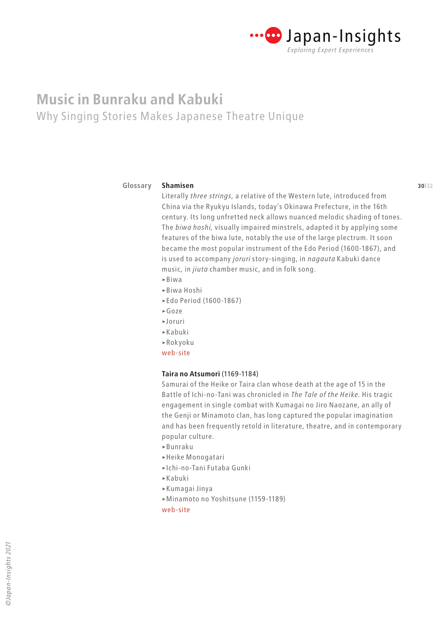

#### **2 2 30**|32 **31 30**|32 **Shamisen Glossary**

Literally *three strings,* a relative of the Western lute, introduced from China via the Ryukyu Islands, today's Okinawa Prefecture, in the 16th century. Its long unfretted neck allows nuanced melodic shading of tones. The *biwa hoshi,* visually impaired minstrels, adapted it by applying some features of the biwa lute, notably the use of the large plectrum. It soon became the most popular instrument of the Edo Period (1600-1867), and is used to accompany *joruri* story-singing, in *nagauta* Kabuki dance music*,* in *jiuta* chamber music*,* and in folk song. >Biwa

- >Biwa Hoshi
- >Edo Period (1600-1867)
- >Goze
- >Joruri
- >Kabuki
- >Rokyoku
- [web-site](https://www.senzoku-online.jp/TMDL/e/02-shamisen.html)

### **Taira no Atsumori** (1169-1184)

Samurai of the Heike or Taira clan whose death at the age of 15 in the Battle of Ichi-no-Tani was chronicled in *The Tale of the Heike.* His tragic engagement in single combat with Kumagai no Jiro Naozane, an ally of the Genji or Minamoto clan, has long captured the popular imagination and has been frequently retold in literature, theatre, and in contemporary popular culture.

- >Bunraku
- >Heike Monogatari
- >Ichi-no-Tani Futaba Gunki
- >Kabuki
- >Kumagai Jinya
- >Minamoto no Yoshitsune (1159-1189)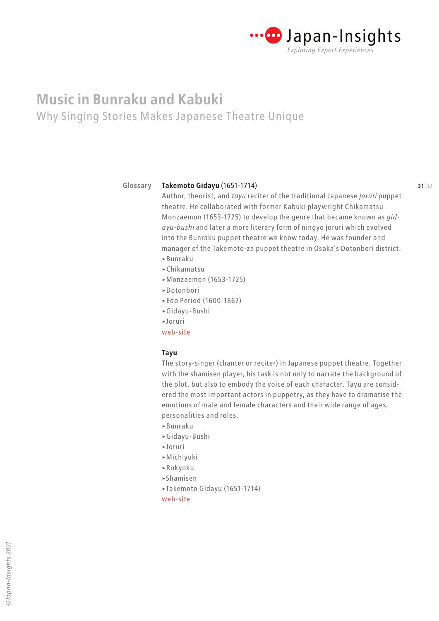

#### **Glossary**

#### **30**|32 **31**|32 **Takemoto Gidayu** (1651-1714)

Author, theorist, and *tayu* reciter of the traditional Japanese *joruri* puppet theatre. He collaborated with former Kabuki playwright Chikamatsu Monzaemon (1653-1725) to develop the genre that became known as *gidayu-bushi* and later a more literary form of ningyo joruri which evolved into the Bunraku puppet theatre we know today. He was founder and manager of the Takemoto-za puppet theatre in Osaka's Dotonbori district. >Bunraku

- >Chikamatsu
- >Monzaemon (1653-1725)
- >Dotonbori
- >Edo Period (1600-1867)
- >Gidayu-Bushi
- >Joruri
- [web-site](https://wepa.unima.org/en/takemoto-gidayu/)

### **Tayu**

The story-singer (chanter or reciter) in Japanese puppet theatre. Together with the shamisen player, his task is not only to narrate the background of the plot, but also to embody the voice of each character. Tayu are considered the most important actors in puppetry, as they have to dramatise the emotions of male and female characters and their wide range of ages, personalities and roles.

- >Bunraku
- >Gidayu-Bushi
- >Joruri
- >Michiyuki
- >Rokyoku
- >Shamisen
- >Takemoto Gidayu (1651-1714)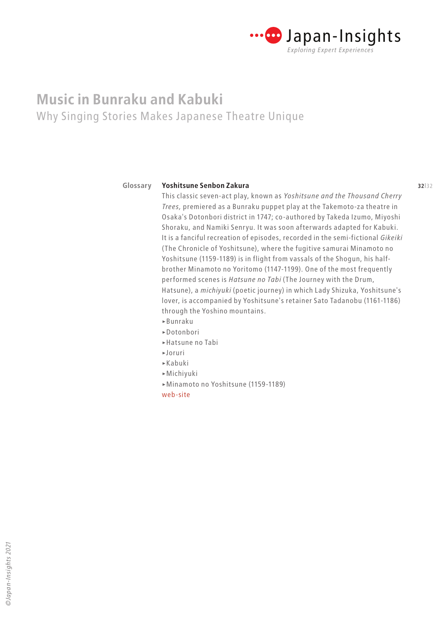

#### **31**|32 **32**|32 **Yoshitsune Senbon Zakura Glossary**

This classic seven-act play, known as *Yoshitsune and the Thousand Cherry Trees,* premiered as a Bunraku puppet play at the Takemoto-za theatre in Osaka's Dotonbori district in 1747; co-authored by Takeda Izumo, Miyoshi Shoraku, and Namiki Senryu. It was soon afterwards adapted for Kabuki. It is a fanciful recreation of episodes, recorded in the semi-fictional *Gikeiki* (The Chronicle of Yoshitsune), where the fugitive samurai Minamoto no Yoshitsune (1159-1189) is in flight from vassals of the Shogun, his halfbrother Minamoto no Yoritomo (1147-1199). One of the most frequently performed scenes is *Hatsune no Tabi* (The Journey with the Drum, Hatsune), a *michiyuki* (poetic journey) in which Lady Shizuka, Yoshitsune's lover, is accompanied by Yoshitsune's retainer Sato Tadanobu (1161-1186) through the Yoshino mountains.

- >Bunraku
- >Dotonbori
- >Hatsune no Tabi
- >Joruri
- >Kabuki
- >Michiyuki
- >Minamoto no Yoshitsune (1159-1189)